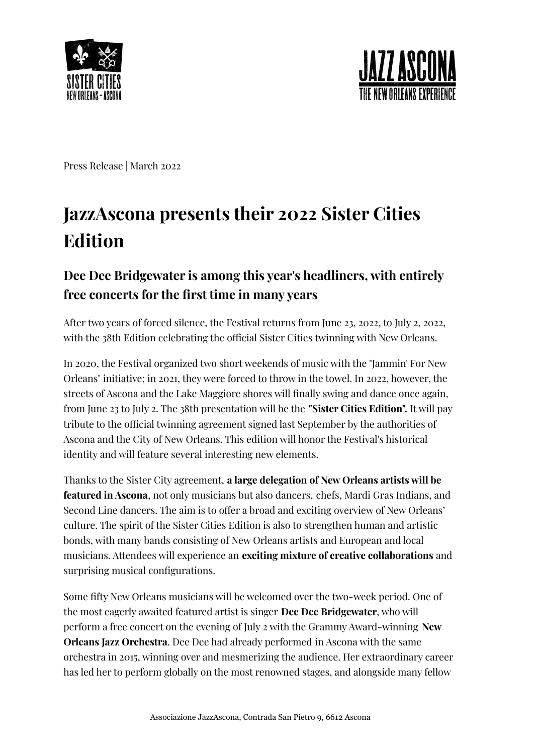



Press Release | March 2022

## **JazzAscona presents their 2022 Sister Cities Edition**

## **Dee Dee Bridgewater is among this year's headliners, with entirely free concerts for the first time in many years**

After two years of forced silence, the Festival returns from June 23, 2022, to July 2, 2022, with the 38th Edition celebrating the official Sister Cities twinning with New Orleans.

In 2020, the Festival organized two short weekends of music with the "Jammin' For New Orleans" initiative; in 2021, they were forced to throw in the towel. In 2022, however, the streets of Ascona and the Lake Maggiore shores will finally swing and dance once again, from June 23 to July 2. The 38th presentation will be the **"Sister Cities Edition".** It will pay tribute to the official twinning agreement signed last September by the authorities of Ascona and the City of New Orleans. This edition will honor the Festival's historical identity and will feature several interesting new elements.

Thanks to the Sister City agreement, **a large delegation of New Orleans artists will be featured in Ascona**, not only musicians but also dancers, chefs, Mardi Gras Indians, and Second Line dancers. The aim is to offer a broad and exciting overview of New Orleans' culture. The spirit of the Sister Cities Edition is also to strengthen human and artistic bonds, with many bands consisting of New Orleans artists and European and local musicians. Attendees will experience an **exciting mixture of creative collaborations** and surprising musical configurations.

Some fifty New Orleans musicians will be welcomed over the two-week period. One of the most eagerly awaited featured artist is singer **Dee Dee Bridgewater**, who will perform a free concert on the evening of July 2 with the Grammy Award-winning **New Orleans Jazz Orchestra**. Dee Dee had already performed in Ascona with the same orchestra in 2015, winning over and mesmerizing the audience. Her extraordinary career has led her to perform globally on the most renowned stages, and alongside many fellow